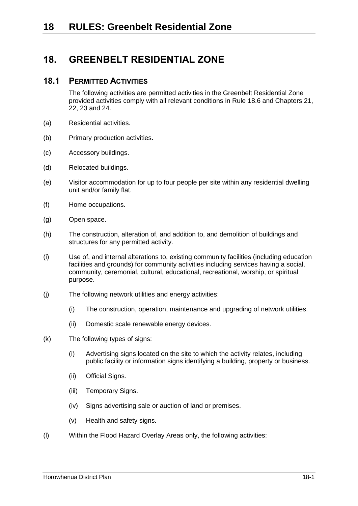# **18. GREENBELT RESIDENTIAL ZONE**

## **18.1 PERMITTED ACTIVITIES**

The following activities are permitted activities in the Greenbelt Residential Zone provided activities comply with all relevant conditions in Rule [18.6](#page-6-0) and Chapters 21, 22, 23 and 24.

- (a) Residential activities.
- (b) Primary production activities.
- (c) Accessory buildings.
- (d) Relocated buildings.
- (e) Visitor accommodation for up to four people per site within any residential dwelling unit and/or family flat.
- (f) Home occupations.
- (g) Open space.
- (h) The construction, alteration of, and addition to, and demolition of buildings and structures for any permitted activity.
- (i) Use of, and internal alterations to, existing community facilities (including education facilities and grounds) for community activities including services having a social, community, ceremonial, cultural, educational, recreational, worship, or spiritual purpose.
- <span id="page-0-0"></span>(j) The following network utilities and energy activities:
	- (i) The construction, operation, maintenance and upgrading of network utilities.
	- (ii) Domestic scale renewable energy devices.
- (k) The following types of signs:
	- (i) Advertising signs located on the site to which the activity relates, including public facility or information signs identifying a building, property or business.
	- (ii) Official Signs.
	- (iii) Temporary Signs.
	- (iv) Signs advertising sale or auction of land or premises.
	- (v) Health and safety signs.
- (l) Within the Flood Hazard Overlay Areas only, the following activities: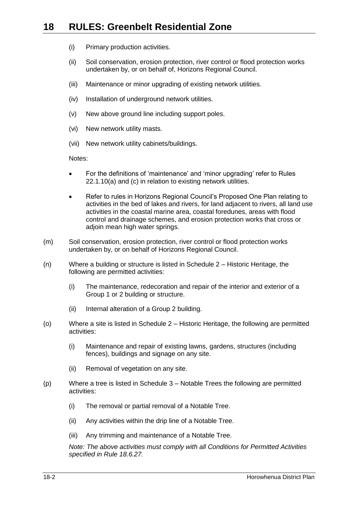- (i) Primary production activities.
- (ii) Soil conservation, erosion protection, river control or flood protection works undertaken by, or on behalf of, Horizons Regional Council.
- (iii) Maintenance or minor upgrading of existing network utilities.
- (iv) Installation of underground network utilities.
- (v) New above ground line including support poles.
- (vi) New network utility masts.
- (vii) New network utility cabinets/buildings.

Notes:

- For the definitions of 'maintenance' and 'minor upgrading' refer to Rules 22.1.10(a) and (c) in relation to existing network utilities.
- Refer to rules in Horizons Regional Council's Proposed One Plan relating to activities in the bed of lakes and rivers, for land adjacent to rivers, all land use activities in the coastal marine area, coastal foredunes, areas with flood control and drainage schemes, and erosion protection works that cross or adjoin mean high water springs.
- (m) Soil conservation, erosion protection, river control or flood protection works undertaken by, or on behalf of Horizons Regional Council.
- (n) Where a building or structure is listed in Schedule 2 Historic Heritage, the following are permitted activities:
	- (i) The maintenance, redecoration and repair of the interior and exterior of a Group 1 or 2 building or structure.
	- (ii) Internal alteration of a Group 2 building.
- (o) Where a site is listed in Schedule 2 Historic Heritage, the following are permitted activities:
	- (i) Maintenance and repair of existing lawns, gardens, structures (including fences), buildings and signage on any site.
	- (ii) Removal of vegetation on any site.
- (p) Where a tree is listed in Schedule 3 Notable Trees the following are permitted activities:
	- (i) The removal or partial removal of a Notable Tree.
	- (ii) Any activities within the drip line of a Notable Tree.
	- (iii) Any trimming and maintenance of a Notable Tree.

*Note: The above activities must comply with all Conditions for Permitted Activities specified in Rule [18.6.27.](#page-13-0)*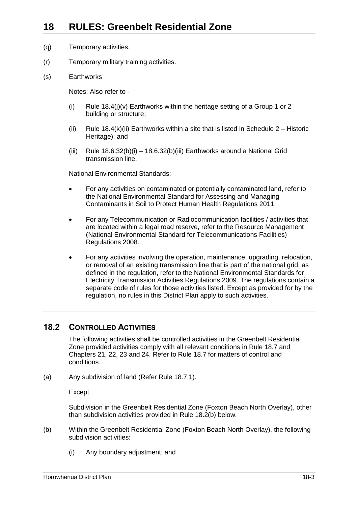- (q) Temporary activities.
- (r) Temporary military training activities.
- (s) Earthworks

Notes: Also refer to -

- (i) Rule  $18.4$ (j)(v) Earthworks within the heritage setting of a Group 1 or 2 building or structure;
- (ii) Rule [18.4\(k\)\(ii\)](#page-5-1) Earthworks within a site that is listed in Schedule  $2 -$  Historic Heritage); and
- (iii) Rule [18.6.32\(b\)\(](#page-17-0)i) [18.6.32\(b\)\(iii\)](#page-18-0) Earthworks around a National Grid transmission line.

National Environmental Standards:

- For any activities on contaminated or potentially contaminated land, refer to the National Environmental Standard for Assessing and Managing Contaminants in Soil to Protect Human Health Regulations 2011.
- For any Telecommunication or Radiocommunication facilities / activities that are located within a legal road reserve, refer to the Resource Management (National Environmental Standard for Telecommunications Facilities) Regulations 2008.
- For any activities involving the operation, maintenance, upgrading, relocation, or removal of an existing transmission line that is part of the national grid, as defined in the regulation, refer to the National Environmental Standards for Electricity Transmission Activities Regulations 2009. The regulations contain a separate code of rules for those activities listed. Except as provided for by the regulation, no rules in this District Plan apply to such activities.

## **18.2 CONTROLLED ACTIVITIES**

The following activities shall be controlled activities in the Greenbelt Residential Zone provided activities comply with all relevant conditions in Rule 18.7 and Chapters 21, 22, 23 and 24. Refer to Rule 18.7 for matters of control and conditions.

<span id="page-2-1"></span>(a) Any subdivision of land (Refer Rule [18.7.1\)](#page-19-0).

Except

Subdivision in the Greenbelt Residential Zone (Foxton Beach North Overlay), other than subdivision activities provided in Rule [18.2\(b\)](#page-2-0) below.

- <span id="page-2-0"></span>(b) Within the Greenbelt Residential Zone (Foxton Beach North Overlay), the following subdivision activities:
	- (i) Any boundary adjustment; and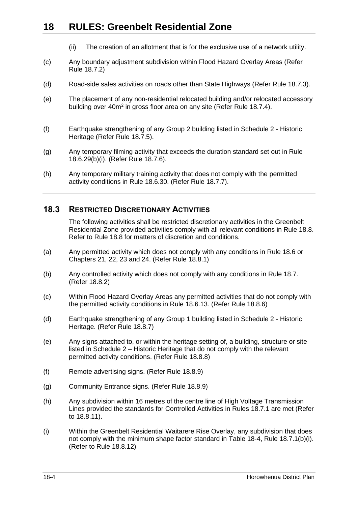- (ii) The creation of an allotment that is for the exclusive use of a network utility.
- <span id="page-3-1"></span>(c) Any boundary adjustment subdivision within Flood Hazard Overlay Areas (Refer Rule [18.7.2\)](#page-21-0)
- <span id="page-3-2"></span>(d) Road-side sales activities on roads other than State Highways (Refer Rule [18.7.3\)](#page-21-1).
- <span id="page-3-3"></span>(e) The placement of any non-residential relocated building and/or relocated accessory building over 40m<sup>2</sup> in gross floor area on any site (Refer Rule [18.7.4\)](#page-22-0).
- <span id="page-3-4"></span>(f) Earthquake strengthening of any Group 2 building listed in Schedule 2 - Historic Heritage (Refer Rule [18.7.5\)](#page-23-0).
- <span id="page-3-5"></span>(g) Any temporary filming activity that exceeds the duration standard set out in Rule [18.6.29\(b\)\(i\).](#page-14-0) (Refer Rule [18.7.6\)](#page-23-1).
- <span id="page-3-6"></span>(h) Any temporary military training activity that does not comply with the permitted activity conditions in Rule [18.6.30.](#page-15-0) (Refer Rule [18.7.7\)](#page-23-2).

## **18.3 RESTRICTED DISCRETIONARY ACTIVITIES**

The following activities shall be restricted discretionary activities in the Greenbelt Residential Zone provided activities comply with all relevant conditions in Rule 18.8. Refer to Rule 18.8 for matters of discretion and conditions.

- <span id="page-3-7"></span>(a) Any permitted activity which does not comply with any conditions in Rule 18.6 or Chapters 21, 22, 23 and 24. (Refer Rule [18.8.1\)](#page-24-0)
- <span id="page-3-8"></span>(b) Any controlled activity which does not comply with any conditions in Rule 18.7. (Refer [18.8.2\)](#page-24-1)
- <span id="page-3-9"></span>(c) Within Flood Hazard Overlay Areas any permitted activities that do not comply with the permitted activity conditions in Rule [18.6.13.](#page-10-0) (Refer Rule [18.8.6\)](#page-25-0)
- <span id="page-3-10"></span>(d) Earthquake strengthening of any Group 1 building listed in Schedule 2 - Historic Heritage. (Refer Rule [18.8.7\)](#page-26-0)
- <span id="page-3-11"></span>(e) Any signs attached to, or within the heritage setting of, a building, structure or site listed in Schedule 2 – Historic Heritage that do not comply with the relevant permitted activity conditions. (Refer Rule [18.8.8\)](#page-26-1)
- <span id="page-3-13"></span><span id="page-3-12"></span>(f) Remote advertising signs. (Refer Rule [18.8.9\)](#page-26-2)
- <span id="page-3-14"></span>(g) Community Entrance signs. (Refer Rule [18.8.9\)](#page-26-2)
- (h) Any subdivision within 16 metres of the centre line of High Voltage Transmission Lines provided the standards for Controlled Activities in Rules [18.7.1](#page-19-0) are met (Refer to [18.8.11\)](#page-27-0).
- <span id="page-3-0"></span>(i) Within the Greenbelt Residential Waitarere Rise Overlay, any subdivision that does not comply with the minimum shape factor standard in [Table 18-4,](#page-20-0) Rule [18.7.1\(b\)\(i\).](#page-20-1) (Refer to Rule [18.8.12\)](#page-28-0)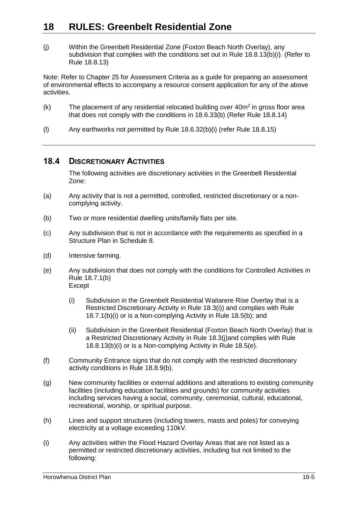<span id="page-4-0"></span>(j) Within the Greenbelt Residential Zone (Foxton Beach North Overlay), any subdivision that complies with the conditions set out in Rule [18.8.13\(b\)\(i\).](#page-30-0) (Refer to Rule [18.8.13\)](#page-28-1)

Note: Refer to Chapter 25 for Assessment Criteria as a guide for preparing an assessment of environmental effects to accompany a resource consent application for any of the above activities.

- <span id="page-4-2"></span> $(k)$  The placement of any residential relocated building over  $40m^2$  in gross floor area that does not comply with the conditions in [18.6.33\(b\)](#page-18-1) (Refer Rule [18.8.14\)](#page-31-0)
- <span id="page-4-3"></span>(l) Any earthworks not permitted by Rule [18.6.32\(b\)\(i\)](#page-17-1) (refer Rule [18.8.15\)](#page-32-0)

## **18.4 DISCRETIONARY ACTIVITIES**

The following activities are discretionary activities in the Greenbelt Residential Zone:

- (a) Any activity that is not a permitted, controlled, restricted discretionary or a noncomplying activity.
- (b) Two or more residential dwelling units/family flats per site.
- (c) Any subdivision that is not in accordance with the requirements as specified in a Structure Plan in Schedule 8.
- (d) Intensive farming.
- <span id="page-4-1"></span>(e) Any subdivision that does not comply with the conditions for Controlled Activities in Rule [18.7.1\(b\)](#page-20-2) Except
	- (i) Subdivision in the Greenbelt Residential Waitarere Rise Overlay that is a Restricted Discretionary Activity in Rule [18.3\(i\)\)](#page-3-0) and complies with Rule [18.7.1\(b\)\(i\)](#page-20-1) or is a Non-complying Activity in Rule [18.5\(b\);](#page-5-2) and
	- (ii) Subdivision in the Greenbelt Residential (Foxton Beach North Overlay) that is a Restricted Discretionary Activity in Rule [18.3\(j\)a](#page-4-0)nd complies with Rule [18.8.13\(b\)\(i\)](#page-30-0) or is a Non-complying Activity in Rule [18.5\(e\).](#page-6-1)
- (f) Community Entrance signs that do not comply with the restricted discretionary activity conditions in Rule [18.8.9\(b\).](#page-26-3)
- (g) New community facilities or external additions and alterations to existing community facilities (including education facilities and grounds) for community activities including services having a social, community, ceremonial, cultural, educational, recreational, worship, or spiritual purpose.
- (h) Lines and support structures (including towers, masts and poles) for conveying electricity at a voltage exceeding 110kV.
- (i) Any activities within the Flood Hazard Overlay Areas that are not listed as a permitted or restricted discretionary activities, including but not limited to the following: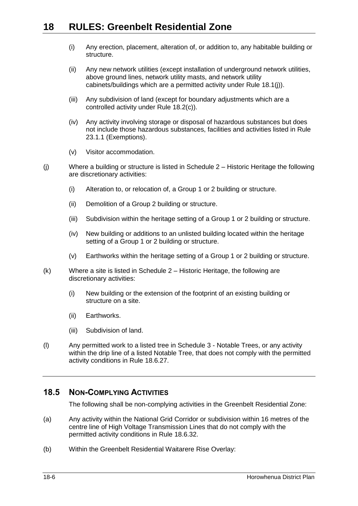- (i) Any erection, placement, alteration of, or addition to, any habitable building or structure.
- (ii) Any new network utilities (except installation of underground network utilities, above ground lines, network utility masts, and network utility cabinets/buildings which are a permitted activity under Rule [18.1\(j\)\)](#page-0-0).
- (iii) Any subdivision of land (except for boundary adjustments which are a controlled activity under Rule [18.2\(c\)\)](#page-3-1).
- (iv) Any activity involving storage or disposal of hazardous substances but does not include those hazardous substances, facilities and activities listed in Rule 23.1.1 (Exemptions).
- (v) Visitor accommodation.
- (j) Where a building or structure is listed in Schedule 2 Historic Heritage the following are discretionary activities:
	- (i) Alteration to, or relocation of, a Group 1 or 2 building or structure.
	- (ii) Demolition of a Group 2 building or structure.
	- (iii) Subdivision within the heritage setting of a Group 1 or 2 building or structure.
	- (iv) New building or additions to an unlisted building located within the heritage setting of a Group 1 or 2 building or structure.
	- (v) Earthworks within the heritage setting of a Group 1 or 2 building or structure.
- <span id="page-5-0"></span>(k) Where a site is listed in Schedule 2 – Historic Heritage, the following are discretionary activities:
	- (i) New building or the extension of the footprint of an existing building or structure on a site.
	- (ii) Earthworks.
	- (iii) Subdivision of land.
- <span id="page-5-1"></span>(l) Any permitted work to a listed tree in Schedule 3 - Notable Trees, or any activity within the drip line of a listed Notable Tree, that does not comply with the permitted activity conditions in Rule [18.6.27.](#page-13-0)

## **18.5 NON-COMPLYING ACTIVITIES**

The following shall be non-complying activities in the Greenbelt Residential Zone:

- (a) Any activity within the National Grid Corridor or subdivision within 16 metres of the centre line of High Voltage Transmission Lines that do not comply with the permitted activity conditions in Rule [18.6.32.](#page-16-0)
- <span id="page-5-2"></span>(b) Within the Greenbelt Residential Waitarere Rise Overlay: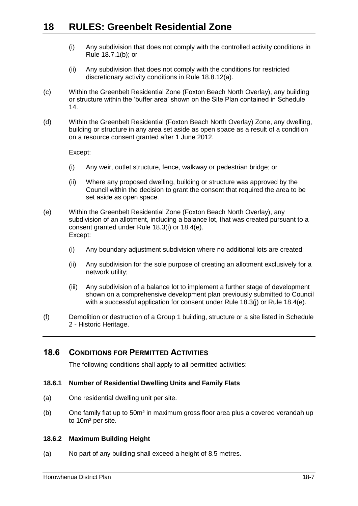- (i) Any subdivision that does not comply with the controlled activity conditions in Rule [18.7.1\(b\);](#page-20-2) or
- (ii) Any subdivision that does not comply with the conditions for restricted discretionary activity conditions in Rule [18.8.12\(a\).](#page-28-2)
- (c) Within the Greenbelt Residential Zone (Foxton Beach North Overlay), any building or structure within the 'buffer area' shown on the Site Plan contained in Schedule 14.
- (d) Within the Greenbelt Residential (Foxton Beach North Overlay) Zone, any dwelling, building or structure in any area set aside as open space as a result of a condition on a resource consent granted after 1 June 2012.

Except:

- (i) Any weir, outlet structure, fence, walkway or pedestrian bridge; or
- (ii) Where any proposed dwelling, building or structure was approved by the Council within the decision to grant the consent that required the area to be set aside as open space.
- <span id="page-6-1"></span>(e) Within the Greenbelt Residential Zone (Foxton Beach North Overlay), any subdivision of an allotment, including a balance lot, that was created pursuant to a consent granted under Rule [18.3\(i\)](#page-3-0) or [18.4\(e\).](#page-4-1) Except:
	- (i) Any boundary adjustment subdivision where no additional lots are created;
	- (ii) Any subdivision for the sole purpose of creating an allotment exclusively for a network utility;
	- (iii) Any subdivision of a balance lot to implement a further stage of development shown on a comprehensive development plan previously submitted to Council with a successful application for consent under Rule [18.3\(j\)](#page-4-0) or Rule [18.4\(e\).](#page-4-1)
- (f) Demolition or destruction of a Group 1 building, structure or a site listed in Schedule 2 - Historic Heritage.

## <span id="page-6-0"></span>**18.6 CONDITIONS FOR PERMITTED ACTIVITIES**

The following conditions shall apply to all permitted activities:

## **18.6.1 Number of Residential Dwelling Units and Family Flats**

- (a) One residential dwelling unit per site.
- (b) One family flat up to 50m² in maximum gross floor area plus a covered verandah up to 10m² per site.

#### <span id="page-6-2"></span>**18.6.2 Maximum Building Height**

(a) No part of any building shall exceed a height of 8.5 metres.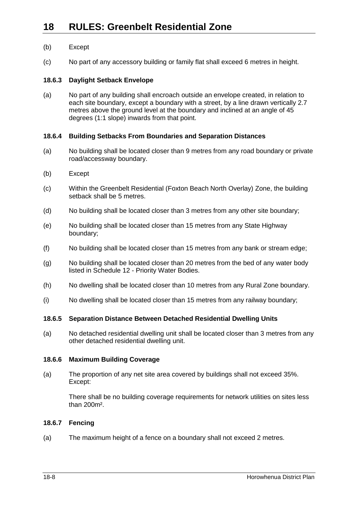## (b) Except

(c) No part of any accessory building or family flat shall exceed 6 metres in height.

## **18.6.3 Daylight Setback Envelope**

(a) No part of any building shall encroach outside an envelope created, in relation to each site boundary, except a boundary with a street, by a line drawn vertically 2.7 metres above the ground level at the boundary and inclined at an angle of 45 degrees (1:1 slope) inwards from that point.

## **18.6.4 Building Setbacks From Boundaries and Separation Distances**

- (a) No building shall be located closer than 9 metres from any road boundary or private road/accessway boundary.
- (b) Except
- (c) Within the Greenbelt Residential (Foxton Beach North Overlay) Zone, the building setback shall be 5 metres.
- (d) No building shall be located closer than 3 metres from any other site boundary;
- (e) No building shall be located closer than 15 metres from any State Highway boundary;
- (f) No building shall be located closer than 15 metres from any bank or stream edge;
- (g) No building shall be located closer than 20 metres from the bed of any water body listed in Schedule 12 - Priority Water Bodies.
- (h) No dwelling shall be located closer than 10 metres from any Rural Zone boundary.
- (i) No dwelling shall be located closer than 15 metres from any railway boundary;

## **18.6.5 Separation Distance Between Detached Residential Dwelling Units**

(a) No detached residential dwelling unit shall be located closer than 3 metres from any other detached residential dwelling unit.

## <span id="page-7-0"></span>**18.6.6 Maximum Building Coverage**

(a) The proportion of any net site area covered by buildings shall not exceed 35%. Except:

There shall be no building coverage requirements for network utilities on sites less than 200m².

## **18.6.7 Fencing**

(a) The maximum height of a fence on a boundary shall not exceed 2 metres.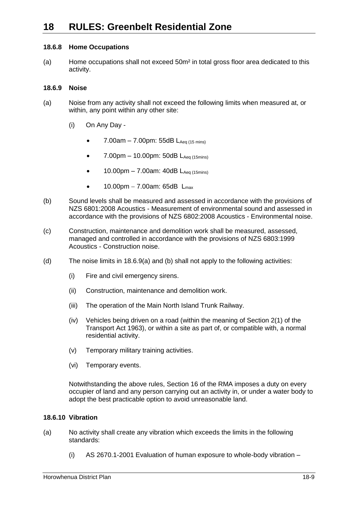## **18.6.8 Home Occupations**

(a) Home occupations shall not exceed 50m² in total gross floor area dedicated to this activity.

## **18.6.9 Noise**

- <span id="page-8-0"></span>(a) Noise from any activity shall not exceed the following limits when measured at, or within, any point within any other site:
	- (i) On Any Day
		- 7.00am 7.00pm: 55dB  $L_{Aeq (15 mins)}$
		- $7.00 \text{pm} 10.00 \text{pm}$ : 50dB  $L_{\text{Aea (15 mins)}}$
		- 10.00pm 7.00am: 40dB  $L_{Aea (15 mins)}$
		- $10.00 \text{pm} 7.00 \text{am}$ : 65dB  $L_{\text{max}}$
- <span id="page-8-1"></span>(b) Sound levels shall be measured and assessed in accordance with the provisions of NZS 6801:2008 Acoustics - Measurement of environmental sound and assessed in accordance with the provisions of NZS 6802:2008 Acoustics - Environmental noise.
- (c) Construction, maintenance and demolition work shall be measured, assessed, managed and controlled in accordance with the provisions of NZS 6803:1999 Acoustics - Construction noise.
- (d) The noise limits in [18.6.9\(a\)](#page-8-0) and [\(b\)](#page-8-1) shall not apply to the following activities:
	- (i) Fire and civil emergency sirens.
	- (ii) Construction, maintenance and demolition work.
	- (iii) The operation of the Main North Island Trunk Railway.
	- (iv) Vehicles being driven on a road (within the meaning of Section 2(1) of the Transport Act 1963), or within a site as part of, or compatible with, a normal residential activity.
	- (v) Temporary military training activities.
	- (vi) Temporary events.

Notwithstanding the above rules, Section 16 of the RMA imposes a duty on every occupier of land and any person carrying out an activity in, or under a water body to adopt the best practicable option to avoid unreasonable land.

## **18.6.10 Vibration**

- (a) No activity shall create any vibration which exceeds the limits in the following standards:
	- (i) AS 2670.1-2001 Evaluation of human exposure to whole-body vibration –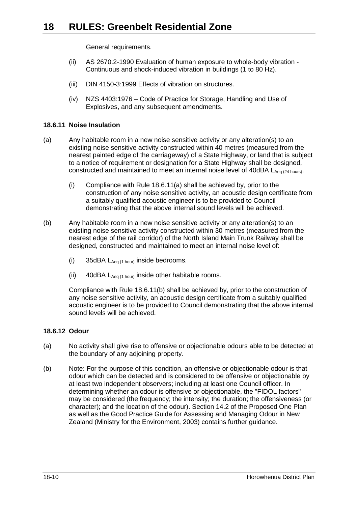General requirements.

- (ii) AS 2670.2-1990 Evaluation of human exposure to whole-body vibration Continuous and shock-induced vibration in buildings (1 to 80 Hz).
- (iii) DIN 4150-3:1999 Effects of vibration on structures.
- (iv) NZS 4403:1976 Code of Practice for Storage, Handling and Use of Explosives, and any subsequent amendments.

## **18.6.11 Noise Insulation**

- <span id="page-9-0"></span>(a) Any habitable room in a new noise sensitive activity or any alteration(s) to an existing noise sensitive activity constructed within 40 metres (measured from the nearest painted edge of the carriageway) of a State Highway, or land that is subject to a notice of requirement or designation for a State Highway shall be designed, constructed and maintained to meet an internal noise level of  $40$ dBA  $L_{Aeq}$  (24 hours).
	- (i) Compliance with Rule [18.6.11\(a\)](#page-9-0) shall be achieved by, prior to the construction of any noise sensitive activity, an acoustic design certificate from a suitably qualified acoustic engineer is to be provided to Council demonstrating that the above internal sound levels will be achieved.
- <span id="page-9-1"></span>(b) Any habitable room in a new noise sensitive activity or any alteration(s) to an existing noise sensitive activity constructed within 30 metres (measured from the nearest edge of the rail corridor) of the North Island Main Trunk Railway shall be designed, constructed and maintained to meet an internal noise level of:
	- (i) 35dBA  $L_{Aeq}$  (1 hour) inside bedrooms.
	- (ii) 40dBA  $L_{Aeq(1 hour)}$  inside other habitable rooms.

Compliance with Rule [18.6.11\(b\)](#page-9-1) shall be achieved by, prior to the construction of any noise sensitive activity, an acoustic design certificate from a suitably qualified acoustic engineer is to be provided to Council demonstrating that the above internal sound levels will be achieved.

## **18.6.12 Odour**

- (a) No activity shall give rise to offensive or objectionable odours able to be detected at the boundary of any adjoining property.
- (b) Note: For the purpose of this condition, an offensive or objectionable odour is that odour which can be detected and is considered to be offensive or objectionable by at least two independent observers; including at least one Council officer. In determining whether an odour is offensive or objectionable, the "FIDOL factors" may be considered (the frequency; the intensity; the duration; the offensiveness (or character); and the location of the odour). Section 14.2 of the Proposed One Plan as well as the Good Practice Guide for Assessing and Managing Odour in New Zealand (Ministry for the Environment, 2003) contains further guidance.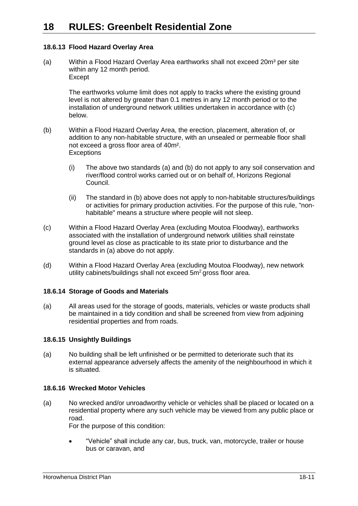## <span id="page-10-0"></span>**18.6.13 Flood Hazard Overlay Area**

<span id="page-10-1"></span>(a) Within a Flood Hazard Overlay Area earthworks shall not exceed  $20m^3$  per site within any 12 month period. **Except** 

The earthworks volume limit does not apply to tracks where the existing ground level is not altered by greater than 0.1 metres in any 12 month period or to the installation of underground network utilities undertaken in accordance with (c) below.

- <span id="page-10-2"></span>(b) Within a Flood Hazard Overlay Area, the erection, placement, alteration of, or addition to any non-habitable structure, with an unsealed or permeable floor shall not exceed a gross floor area of 40m². **Exceptions** 
	- (i) The above two standards [\(a\)](#page-10-1) and [\(b\)](#page-10-2) do not apply to any soil conservation and river/flood control works carried out or on behalf of, Horizons Regional Council.
	- (ii) The standard in [\(b\)](#page-10-2) above does not apply to non-habitable structures/buildings or activities for primary production activities. For the purpose of this rule, "nonhabitable" means a structure where people will not sleep.
- (c) Within a Flood Hazard Overlay Area (excluding Moutoa Floodway), earthworks associated with the installation of underground network utilities shall reinstate ground level as close as practicable to its state prior to disturbance and the standards in [\(a\)](#page-10-1) above do not apply.
- (d) Within a Flood Hazard Overlay Area (excluding Moutoa Floodway), new network utility cabinets/buildings shall not exceed 5m<sup>2</sup> gross floor area.

## **18.6.14 Storage of Goods and Materials**

(a) All areas used for the storage of goods, materials, vehicles or waste products shall be maintained in a tidy condition and shall be screened from view from adjoining residential properties and from roads.

## **18.6.15 Unsightly Buildings**

(a) No building shall be left unfinished or be permitted to deteriorate such that its external appearance adversely affects the amenity of the neighbourhood in which it is situated.

## **18.6.16 Wrecked Motor Vehicles**

(a) No wrecked and/or unroadworthy vehicle or vehicles shall be placed or located on a residential property where any such vehicle may be viewed from any public place or road.

For the purpose of this condition:

 "Vehicle" shall include any car, bus, truck, van, motorcycle, trailer or house bus or caravan, and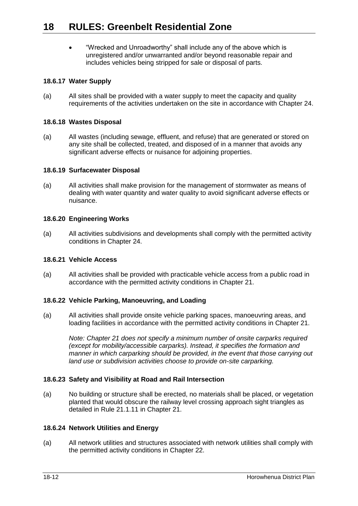"Wrecked and Unroadworthy" shall include any of the above which is unregistered and/or unwarranted and/or beyond reasonable repair and includes vehicles being stripped for sale or disposal of parts.

## **18.6.17 Water Supply**

(a) All sites shall be provided with a water supply to meet the capacity and quality requirements of the activities undertaken on the site in accordance with Chapter 24.

## **18.6.18 Wastes Disposal**

(a) All wastes (including sewage, effluent, and refuse) that are generated or stored on any site shall be collected, treated, and disposed of in a manner that avoids any significant adverse effects or nuisance for adjoining properties.

## **18.6.19 Surfacewater Disposal**

(a) All activities shall make provision for the management of stormwater as means of dealing with water quantity and water quality to avoid significant adverse effects or nuisance.

## **18.6.20 Engineering Works**

(a) All activities subdivisions and developments shall comply with the permitted activity conditions in Chapter 24.

## **18.6.21 Vehicle Access**

(a) All activities shall be provided with practicable vehicle access from a public road in accordance with the permitted activity conditions in Chapter 21.

## **18.6.22 Vehicle Parking, Manoeuvring, and Loading**

(a) All activities shall provide onsite vehicle parking spaces, manoeuvring areas, and loading facilities in accordance with the permitted activity conditions in Chapter 21.

*Note: Chapter 21 does not specify a minimum number of onsite carparks required (except for mobility/accessible carparks). Instead, it specifies the formation and manner in which carparking should be provided, in the event that those carrying out land use or subdivision activities choose to provide on-site carparking.*

## **18.6.23 Safety and Visibility at Road and Rail Intersection**

(a) No building or structure shall be erected, no materials shall be placed, or vegetation planted that would obscure the railway level crossing approach sight triangles as detailed in Rule 21.1.11 in Chapter 21.

## **18.6.24 Network Utilities and Energy**

(a) All network utilities and structures associated with network utilities shall comply with the permitted activity conditions in Chapter 22.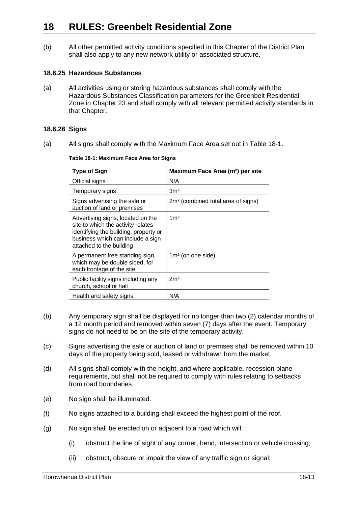(b) All other permitted activity conditions specified in this Chapter of the District Plan shall also apply to any new network utility or associated structure.

#### **18.6.25 Hazardous Substances**

(a) All activities using or storing hazardous substances shall comply with the Hazardous Substances Classification parameters for the Greenbelt Residential Zone in Chapter 23 and shall comply with all relevant permitted activity standards in that Chapter.

## **18.6.26 Signs**

(a) All signs shall comply with the Maximum Face Area set out in Table 18-1.

| <b>Type of Sign</b>                                                                                                                                                               | Maximum Face Area (m <sup>2</sup> ) per site   |
|-----------------------------------------------------------------------------------------------------------------------------------------------------------------------------------|------------------------------------------------|
| Official signs                                                                                                                                                                    | N/A                                            |
| Temporary signs                                                                                                                                                                   | 3 <sup>m²</sup>                                |
| Signs advertising the sale or<br>auction of land or premises                                                                                                                      | 2m <sup>2</sup> (combined total area of signs) |
| Advertising signs, located on the<br>site to which the activity relates<br>identifying the building, property or<br>business which can include a sign<br>attached to the building | 1 <sup>m²</sup>                                |
| A permanent free standing sign,<br>which may be double sided, for<br>each frontage of the site                                                                                    | $1m2$ (on one side)                            |
| Public facility signs including any<br>church, school or hall                                                                                                                     | 2m <sup>2</sup>                                |
| Health and safety signs                                                                                                                                                           | N/A                                            |

**Table 18-1: Maximum Face Area for Signs**

- (b) Any temporary sign shall be displayed for no longer than two (2) calendar months of a 12 month period and removed within seven (7) days after the event. Temporary signs do not need to be on the site of the temporary activity.
- (c) Signs advertising the sale or auction of land or premises shall be removed within 10 days of the property being sold, leased or withdrawn from the market.
- (d) All signs shall comply with the height, and where applicable, recession plane requirements, but shall not be required to comply with rules relating to setbacks from road boundaries.
- (e) No sign shall be illuminated.
- (f) No signs attached to a building shall exceed the highest point of the roof.
- (g) No sign shall be erected on or adjacent to a road which will:
	- (i) obstruct the line of sight of any corner, bend, intersection or vehicle crossing;
	- (ii) obstruct, obscure or impair the view of any traffic sign or signal;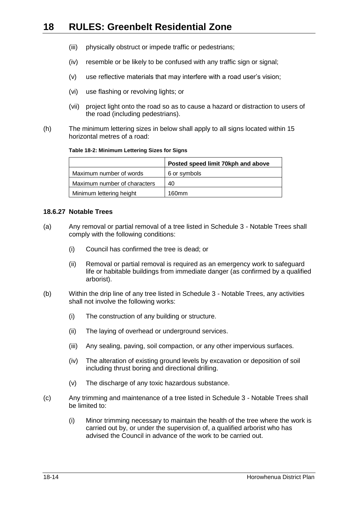- (iii) physically obstruct or impede traffic or pedestrians;
- (iv) resemble or be likely to be confused with any traffic sign or signal;
- (v) use reflective materials that may interfere with a road user's vision;
- (vi) use flashing or revolving lights; or
- (vii) project light onto the road so as to cause a hazard or distraction to users of the road (including pedestrians).
- (h) The minimum lettering sizes in below shall apply to all signs located within 15 horizontal metres of a road:

#### **Table 18-2: Minimum Lettering Sizes for Signs**

|                              | Posted speed limit 70kph and above |
|------------------------------|------------------------------------|
| Maximum number of words      | 6 or symbols                       |
| Maximum number of characters | 40                                 |
| Minimum lettering height     | 160mm                              |

#### <span id="page-13-0"></span>**18.6.27 Notable Trees**

- (a) Any removal or partial removal of a tree listed in Schedule 3 Notable Trees shall comply with the following conditions:
	- (i) Council has confirmed the tree is dead; or
	- (ii) Removal or partial removal is required as an emergency work to safeguard life or habitable buildings from immediate danger (as confirmed by a qualified arborist).
- (b) Within the drip line of any tree listed in Schedule 3 Notable Trees, any activities shall not involve the following works:
	- (i) The construction of any building or structure.
	- (ii) The laying of overhead or underground services.
	- (iii) Any sealing, paving, soil compaction, or any other impervious surfaces.
	- (iv) The alteration of existing ground levels by excavation or deposition of soil including thrust boring and directional drilling.
	- (v) The discharge of any toxic hazardous substance.
- (c) Any trimming and maintenance of a tree listed in Schedule 3 Notable Trees shall be limited to:
	- (i) Minor trimming necessary to maintain the health of the tree where the work is carried out by, or under the supervision of, a qualified arborist who has advised the Council in advance of the work to be carried out.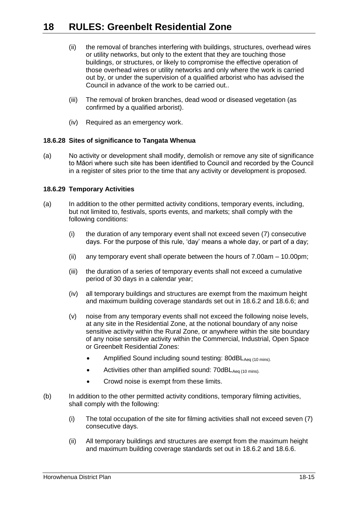- (ii) the removal of branches interfering with buildings, structures, overhead wires or utility networks, but only to the extent that they are touching those buildings, or structures, or likely to compromise the effective operation of those overhead wires or utility networks and only where the work is carried out by, or under the supervision of a qualified arborist who has advised the Council in advance of the work to be carried out..
- (iii) The removal of broken branches, dead wood or diseased vegetation (as confirmed by a qualified arborist).
- (iv) Required as an emergency work.

## **18.6.28 Sites of significance to Tangata Whenua**

(a) No activity or development shall modify, demolish or remove any site of significance to Māori where such site has been identified to Council and recorded by the Council in a register of sites prior to the time that any activity or development is proposed.

#### **18.6.29 Temporary Activities**

- (a) In addition to the other permitted activity conditions, temporary events, including, but not limited to, festivals, sports events, and markets; shall comply with the following conditions:
	- (i) the duration of any temporary event shall not exceed seven (7) consecutive days. For the purpose of this rule, 'day' means a whole day, or part of a day;
	- (ii) any temporary event shall operate between the hours of  $7.00$ am  $-10.00$ pm;
	- (iii) the duration of a series of temporary events shall not exceed a cumulative period of 30 days in a calendar year;
	- (iv) all temporary buildings and structures are exempt from the maximum height and maximum building coverage standards set out in [18.6.2](#page-6-2) and [18.6.6;](#page-7-0) and
	- (v) noise from any temporary events shall not exceed the following noise levels, at any site in the Residential Zone, at the notional boundary of any noise sensitive activity within the Rural Zone, or anywhere within the site boundary of any noise sensitive activity within the Commercial, Industrial, Open Space or Greenbelt Residential Zones:
		- Amplified Sound including sound testing: 80dBLAeq (10 mins).
		- Activities other than amplified sound:  $70dBL_{Aea (10 mins)}$ .
		- Crowd noise is exempt from these limits.
- <span id="page-14-0"></span>(b) In addition to the other permitted activity conditions, temporary filming activities, shall comply with the following:
	- (i) The total occupation of the site for filming activities shall not exceed seven (7) consecutive days.
	- (ii) All temporary buildings and structures are exempt from the maximum height and maximum building coverage standards set out in [18.6.2](#page-6-2) and [18.6.6.](#page-7-0)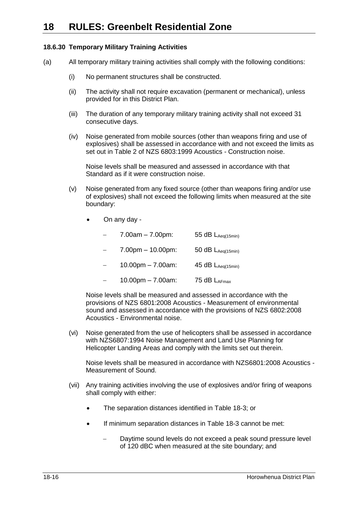## <span id="page-15-0"></span>**18.6.30 Temporary Military Training Activities**

- (a) All temporary military training activities shall comply with the following conditions:
	- (i) No permanent structures shall be constructed.
	- (ii) The activity shall not require excavation (permanent or mechanical), unless provided for in this District Plan.
	- (iii) The duration of any temporary military training activity shall not exceed 31 consecutive days.
	- (iv) Noise generated from mobile sources (other than weapons firing and use of explosives) shall be assessed in accordance with and not exceed the limits as set out in Table 2 of NZS 6803:1999 Acoustics - Construction noise.

Noise levels shall be measured and assessed in accordance with that Standard as if it were construction noise.

- (v) Noise generated from any fixed source (other than weapons firing and/or use of explosives) shall not exceed the following limits when measured at the site boundary:
	- On any day -
		- 7.00am 7.00pm: 55 dB  $L_{Aeq(15min)}$
		- 7.00pm 10.00pm: 50 dB  $L_{Aeq(15min)}$
		- 10.00pm 7.00am:  $45$  dB  $L_{Aeq(15min)}$
		- $-$  10.00pm 7.00am: 75 dB LAFmax

Noise levels shall be measured and assessed in accordance with the provisions of NZS 6801:2008 Acoustics - Measurement of environmental sound and assessed in accordance with the provisions of NZS 6802:2008 Acoustics - Environmental noise.

(vi) Noise generated from the use of helicopters shall be assessed in accordance with NZS6807:1994 Noise Management and Land Use Planning for Helicopter Landing Areas and comply with the limits set out therein.

Noise levels shall be measured in accordance with NZS6801:2008 Acoustics - Measurement of Sound.

- (vii) Any training activities involving the use of explosives and/or firing of weapons shall comply with either:
	- The separation distances identified in [Table 18-3;](#page-16-1) or
	- If minimum separation distances in [Table 18-3](#page-16-1) cannot be met:
		- Daytime sound levels do not exceed a peak sound pressure level of 120 dBC when measured at the site boundary; and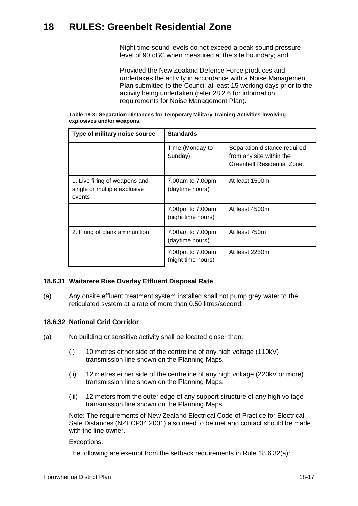- Night time sound levels do not exceed a peak sound pressure level of 90 dBC when measured at the site boundary; and
- Provided the New Zealand Defence Force produces and undertakes the activity in accordance with a Noise Management Plan submitted to the Council at least 15 working days prior to the activity being undertaken (refer 28.2.6 for information requirements for Noise Management Plan).

<span id="page-16-1"></span>

| Table 18-3: Separation Distances for Temporary Military Training Activities involving |  |  |
|---------------------------------------------------------------------------------------|--|--|
| explosives and/or weapons.                                                            |  |  |

| Type of military noise source                                           | <b>Standards</b>                       |                                                                                         |  |
|-------------------------------------------------------------------------|----------------------------------------|-----------------------------------------------------------------------------------------|--|
|                                                                         | Time (Monday to<br>Sunday)             | Separation distance required<br>from any site within the<br>Greenbelt Residential Zone. |  |
| 1. Live firing of weapons and<br>single or multiple explosive<br>events | 7.00am to 7.00pm<br>(daytime hours)    | At least 1500m                                                                          |  |
|                                                                         | 7.00pm to 7.00am<br>(night time hours) | At least 4500m                                                                          |  |
| 2. Firing of blank ammunition                                           | 7.00am to 7.00pm<br>(daytime hours)    | At least 750m                                                                           |  |
|                                                                         | 7.00pm to 7.00am<br>(night time hours) | At least 2250m                                                                          |  |

## **18.6.31 Waitarere Rise Overlay Effluent Disposal Rate**

(a) Any onsite effluent treatment system installed shall not pump grey water to the reticulated system at a rate of more than 0.50 litres/second.

## <span id="page-16-0"></span>**18.6.32 National Grid Corridor**

- (a) No building or sensitive activity shall be located closer than:
	- (i) 10 metres either side of the centreline of any high voltage (110kV) transmission line shown on the Planning Maps.
	- (ii) 12 metres either side of the centreline of any high voltage (220kV or more) transmission line shown on the Planning Maps.
	- (iii) 12 meters from the outer edge of any support structure of any high voltage transmission line shown on the Planning Maps.

Note: The requirements of New Zealand Electrical Code of Practice for Electrical Safe Distances (NZECP34:2001) also need to be met and contact should be made with the line owner.

#### Exceptions:

The following are exempt from the setback requirements in Rule [18.6.32\(a\):](#page-16-0)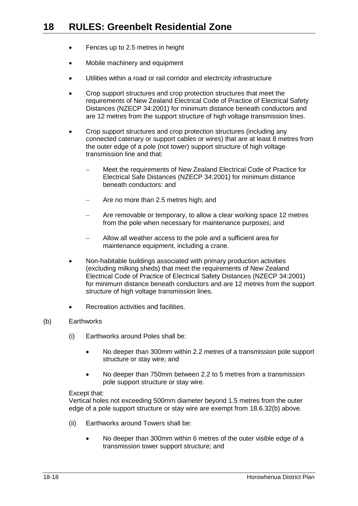- Fences up to 2.5 metres in height
- Mobile machinery and equipment
- Utilities within a road or rail corridor and electricity infrastructure
- Crop support structures and crop protection structures that meet the requirements of New Zealand Electrical Code of Practice of Electrical Safety Distances (NZECP 34:2001) for minimum distance beneath conductors and are 12 metres from the support structure of high voltage transmission lines.
- Crop support structures and crop protection structures (including any connected catenary or support cables or wires) that are at least 8 metres from the outer edge of a pole (not tower) support structure of high voltage transmission line and that:
	- Meet the requirements of New Zealand Electrical Code of Practice for Electrical Safe Distances (NZECP 34:2001) for minimum distance beneath conductors: and
	- Are no more than 2.5 metres high; and
	- Are removable or temporary, to allow a clear working space 12 metres from the pole when necessary for maintenance purposes; and
	- Allow all weather access to the pole and a sufficient area for maintenance equipment, including a crane.
- Non-habitable buildings associated with primary production activities (excluding milking sheds) that meet the requirements of New Zealand Electrical Code of Practice of Electrical Safety Distances (NZECP 34:2001) for minimum distance beneath conductors and are 12 metres from the support structure of high voltage transmission lines.
- Recreation activities and facilities.

## <span id="page-17-1"></span><span id="page-17-0"></span>(b) Earthworks

- (i) Earthworks around Poles shall be:
	- No deeper than 300mm within 2.2 metres of a transmission pole support structure or stay wire; and
	- No deeper than 750mm between 2.2 to 5 metres from a transmission pole support structure or stay wire.

#### Except that:

Vertical holes not exceeding 500mm diameter beyond 1.5 metres from the outer edge of a pole support structure or stay wire are exempt from [18.6.32\(](#page-16-0)b) above.

- (ii) Earthworks around Towers shall be:
	- No deeper than 300mm within 6 metres of the outer visible edge of a transmission tower support structure; and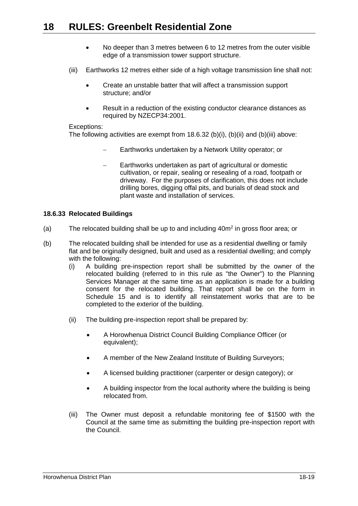- No deeper than 3 metres between 6 to 12 metres from the outer visible edge of a transmission tower support structure.
- <span id="page-18-0"></span>(iii) Earthworks 12 metres either side of a high voltage transmission line shall not:
	- Create an unstable batter that will affect a transmission support structure; and/or
	- Result in a reduction of the existing conductor clearance distances as required by NZECP34:2001.

#### Exceptions:

The following activities are exempt from [18.6.32](#page-16-0) (b)(i), (b)(ii) and (b)(iii) above:

- Earthworks undertaken by a Network Utility operator; or
- Earthworks undertaken as part of agricultural or domestic cultivation, or repair, sealing or resealing of a road, footpath or driveway. For the purposes of clarification, this does not include drilling bores, digging offal pits, and burials of dead stock and plant waste and installation of services.

## **18.6.33 Relocated Buildings**

- <span id="page-18-1"></span>(a) The relocated building shall be up to and including  $40m^2$  in gross floor area; or
- (b) The relocated building shall be intended for use as a residential dwelling or family flat and be originally designed, built and used as a residential dwelling; and comply with the following:
	- (i) A building pre-inspection report shall be submitted by the owner of the relocated building (referred to in this rule as "the Owner") to the Planning Services Manager at the same time as an application is made for a building consent for the relocated building. That report shall be on the form in Schedule 15 and is to identify all reinstatement works that are to be completed to the exterior of the building.
	- (ii) The building pre-inspection report shall be prepared by:
		- A Horowhenua District Council Building Compliance Officer (or equivalent);
		- A member of the New Zealand Institute of Building Surveyors;
		- A licensed building practitioner (carpenter or design category); or
		- A building inspector from the local authority where the building is being relocated from.
	- (iii) The Owner must deposit a refundable monitoring fee of \$1500 with the Council at the same time as submitting the building pre-inspection report with the Council.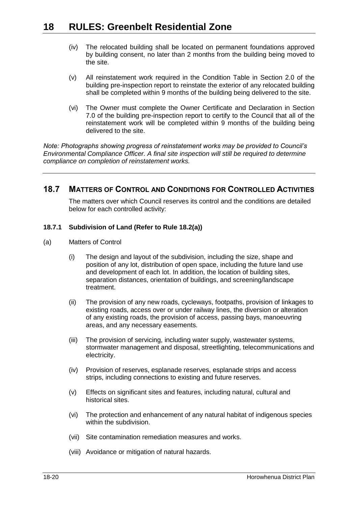- (iv) The relocated building shall be located on permanent foundations approved by building consent, no later than 2 months from the building being moved to the site.
- (v) All reinstatement work required in the Condition Table in Section 2.0 of the building pre-inspection report to reinstate the exterior of any relocated building shall be completed within 9 months of the building being delivered to the site.
- (vi) The Owner must complete the Owner Certificate and Declaration in Section 7.0 of the building pre-inspection report to certify to the Council that all of the reinstatement work will be completed within 9 months of the building being delivered to the site.

*Note: Photographs showing progress of reinstatement works may be provided to Council's Environmental Compliance Officer. A final site inspection will still be required to determine compliance on completion of reinstatement works.*

## <span id="page-19-1"></span>**18.7 MATTERS OF CONTROL AND CONDITIONS FOR CONTROLLED ACTIVITIES**

The matters over which Council reserves its control and the conditions are detailed below for each controlled activity:

## <span id="page-19-0"></span>**18.7.1 Subdivision of Land (Refer to Rule [18.2\(a\)\)](#page-2-1)**

- (a) Matters of Control
	- (i) The design and layout of the subdivision, including the size, shape and position of any lot, distribution of open space, including the future land use and development of each lot. In addition, the location of building sites, separation distances, orientation of buildings, and screening/landscape treatment.
	- (ii) The provision of any new roads, cycleways, footpaths, provision of linkages to existing roads, access over or under railway lines, the diversion or alteration of any existing roads, the provision of access, passing bays, manoeuvring areas, and any necessary easements.
	- (iii) The provision of servicing, including water supply, wastewater systems, stormwater management and disposal, streetlighting, telecommunications and electricity.
	- (iv) Provision of reserves, esplanade reserves, esplanade strips and access strips, including connections to existing and future reserves.
	- (v) Effects on significant sites and features, including natural, cultural and historical sites.
	- (vi) The protection and enhancement of any natural habitat of indigenous species within the subdivision.
	- (vii) Site contamination remediation measures and works.
	- (viii) Avoidance or mitigation of natural hazards.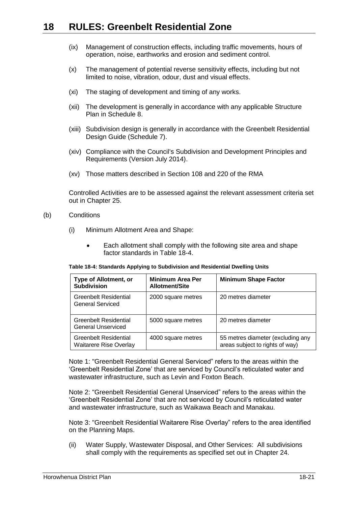- (ix) Management of construction effects, including traffic movements, hours of operation, noise, earthworks and erosion and sediment control.
- (x) The management of potential reverse sensitivity effects, including but not limited to noise, vibration, odour, dust and visual effects.
- (xi) The staging of development and timing of any works.
- (xii) The development is generally in accordance with any applicable Structure Plan in Schedule 8.
- (xiii) Subdivision design is generally in accordance with the Greenbelt Residential Design Guide (Schedule 7).
- (xiv) Compliance with the Council's Subdivision and Development Principles and Requirements (Version July 2014).
- (xv) Those matters described in Section 108 and 220 of the RMA

Controlled Activities are to be assessed against the relevant assessment criteria set out in Chapter 25.

- <span id="page-20-2"></span><span id="page-20-1"></span>(b) Conditions
	- (i) Minimum Allotment Area and Shape:
		- Each allotment shall comply with the following site area and shape factor standards in [Table 18-4.](#page-20-0)

#### <span id="page-20-0"></span>**Table 18-4: Standards Applying to Subdivision and Residential Dwelling Units**

| <b>Type of Allotment, or</b><br><b>Subdivision</b>     | <b>Minimum Area Per</b><br>Allotment/Site | <b>Minimum Shape Factor</b>                                          |
|--------------------------------------------------------|-------------------------------------------|----------------------------------------------------------------------|
| Greenbelt Residential<br>General Serviced              | 2000 square metres                        | 20 metres diameter                                                   |
| Greenbelt Residential<br>General Unserviced            | 5000 square metres                        | 20 metres diameter                                                   |
| Greenbelt Residential<br><b>Waitarere Rise Overlay</b> | 4000 square metres                        | 55 metres diameter (excluding any<br>areas subject to rights of way) |

Note 1: "Greenbelt Residential General Serviced" refers to the areas within the 'Greenbelt Residential Zone' that are serviced by Council's reticulated water and wastewater infrastructure, such as Levin and Foxton Beach.

Note 2: "Greenbelt Residential General Unserviced" refers to the areas within the 'Greenbelt Residential Zone' that are not serviced by Council's reticulated water and wastewater infrastructure, such as Waikawa Beach and Manakau.

Note 3: "Greenbelt Residential Waitarere Rise Overlay" refers to the area identified on the Planning Maps.

(ii) Water Supply, Wastewater Disposal, and Other Services: All subdivisions shall comply with the requirements as specified set out in Chapter 24.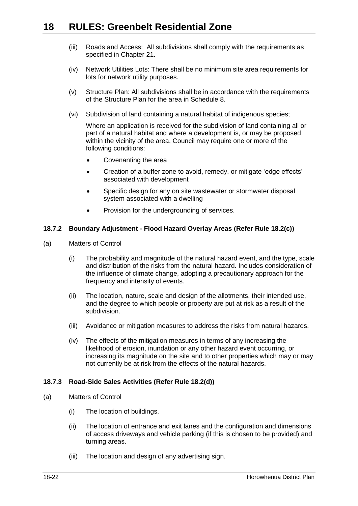- (iii) Roads and Access: All subdivisions shall comply with the requirements as specified in Chapter 21.
- (iv) Network Utilities Lots: There shall be no minimum site area requirements for lots for network utility purposes.
- (v) Structure Plan: All subdivisions shall be in accordance with the requirements of the Structure Plan for the area in Schedule 8.
- (vi) Subdivision of land containing a natural habitat of indigenous species;

Where an application is received for the subdivision of land containing all or part of a natural habitat and where a development is, or may be proposed within the vicinity of the area, Council may require one or more of the following conditions:

- Covenanting the area
- Creation of a buffer zone to avoid, remedy, or mitigate 'edge effects' associated with development
- Specific design for any on site wastewater or stormwater disposal system associated with a dwelling
- Provision for the undergrounding of services.

## <span id="page-21-0"></span>**18.7.2 Boundary Adjustment - Flood Hazard Overlay Areas (Refer Rule [18.2\(c\)\)](#page-3-1)**

- (a) Matters of Control
	- (i) The probability and magnitude of the natural hazard event, and the type, scale and distribution of the risks from the natural hazard. Includes consideration of the influence of climate change, adopting a precautionary approach for the frequency and intensity of events.
	- (ii) The location, nature, scale and design of the allotments, their intended use, and the degree to which people or property are put at risk as a result of the subdivision.
	- (iii) Avoidance or mitigation measures to address the risks from natural hazards.
	- (iv) The effects of the mitigation measures in terms of any increasing the likelihood of erosion, inundation or any other hazard event occurring, or increasing its magnitude on the site and to other properties which may or may not currently be at risk from the effects of the natural hazards.

## <span id="page-21-1"></span>**18.7.3 Road-Side Sales Activities (Refer Rule [18.2\(d\)\)](#page-3-2)**

- (a) Matters of Control
	- (i) The location of buildings.
	- (ii) The location of entrance and exit lanes and the configuration and dimensions of access driveways and vehicle parking (if this is chosen to be provided) and turning areas.
	- (iii) The location and design of any advertising sign.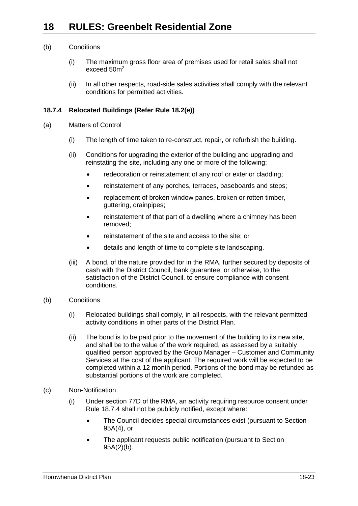## (b) Conditions

- (i) The maximum gross floor area of premises used for retail sales shall not exceed  $50<sup>2</sup>$
- (ii) In all other respects, road-side sales activities shall comply with the relevant conditions for permitted activities.

## <span id="page-22-0"></span>**18.7.4 Relocated Buildings (Refer Rule [18.2\(e\)\)](#page-3-3)**

- (a) Matters of Control
	- (i) The length of time taken to re-construct, repair, or refurbish the building.
	- (ii) Conditions for upgrading the exterior of the building and upgrading and reinstating the site, including any one or more of the following:
		- redecoration or reinstatement of any roof or exterior cladding;
		- reinstatement of any porches, terraces, baseboards and steps;
		- replacement of broken window panes, broken or rotten timber, guttering, drainpipes;
		- reinstatement of that part of a dwelling where a chimney has been removed;
		- reinstatement of the site and access to the site; or
		- details and length of time to complete site landscaping.
	- (iii) A bond, of the nature provided for in the RMA, further secured by deposits of cash with the District Council, bank guarantee, or otherwise, to the satisfaction of the District Council, to ensure compliance with consent conditions.
- (b) Conditions
	- (i) Relocated buildings shall comply, in all respects, with the relevant permitted activity conditions in other parts of the District Plan.
	- (ii) The bond is to be paid prior to the movement of the building to its new site, and shall be to the value of the work required, as assessed by a suitably qualified person approved by the Group Manager – Customer and Community Services at the cost of the applicant. The required work will be expected to be completed within a 12 month period. Portions of the bond may be refunded as substantial portions of the work are completed.
- (c) Non-Notification
	- (i) Under section 77D of the RMA, an activity requiring resource consent under Rule [18.7.4](#page-22-0) shall not be publicly notified, except where:
		- The Council decides special circumstances exist (pursuant to Section 95A(4), or
		- The applicant requests public notification (pursuant to Section 95A(2)(b).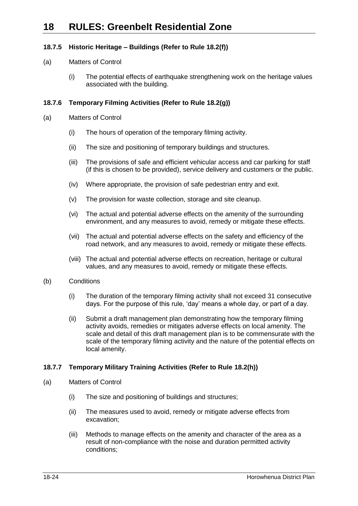## <span id="page-23-0"></span>**18.7.5 Historic Heritage – Buildings (Refer to Rule [18.2\(f\)\)](#page-3-4)**

- (a) Matters of Control
	- (i) The potential effects of earthquake strengthening work on the heritage values associated with the building.

## <span id="page-23-1"></span>**18.7.6 Temporary Filming Activities (Refer to Rule [18.2\(g\)\)](#page-3-5)**

- (a) Matters of Control
	- (i) The hours of operation of the temporary filming activity.
	- (ii) The size and positioning of temporary buildings and structures.
	- (iii) The provisions of safe and efficient vehicular access and car parking for staff (if this is chosen to be provided), service delivery and customers or the public.
	- (iv) Where appropriate, the provision of safe pedestrian entry and exit.
	- (v) The provision for waste collection, storage and site cleanup.
	- (vi) The actual and potential adverse effects on the amenity of the surrounding environment, and any measures to avoid, remedy or mitigate these effects.
	- (vii) The actual and potential adverse effects on the safety and efficiency of the road network, and any measures to avoid, remedy or mitigate these effects.
	- (viii) The actual and potential adverse effects on recreation, heritage or cultural values, and any measures to avoid, remedy or mitigate these effects.
- (b) Conditions
	- (i) The duration of the temporary filming activity shall not exceed 31 consecutive days. For the purpose of this rule, 'day' means a whole day, or part of a day.
	- (ii) Submit a draft management plan demonstrating how the temporary filming activity avoids, remedies or mitigates adverse effects on local amenity. The scale and detail of this draft management plan is to be commensurate with the scale of the temporary filming activity and the nature of the potential effects on local amenity.

## <span id="page-23-2"></span>**18.7.7 Temporary Military Training Activities (Refer to Rule [18.2\(h\)\)](#page-3-6)**

- (a) Matters of Control
	- (i) The size and positioning of buildings and structures;
	- (ii) The measures used to avoid, remedy or mitigate adverse effects from excavation;
	- (iii) Methods to manage effects on the amenity and character of the area as a result of non-compliance with the noise and duration permitted activity conditions;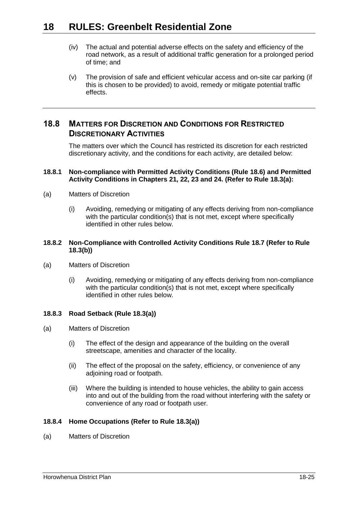- (iv) The actual and potential adverse effects on the safety and efficiency of the road network, as a result of additional traffic generation for a prolonged period of time; and
- (v) The provision of safe and efficient vehicular access and on-site car parking (if this is chosen to be provided) to avoid, remedy or mitigate potential traffic effects.

## **18.8 MATTERS FOR DISCRETION AND CONDITIONS FOR RESTRICTED DISCRETIONARY ACTIVITIES**

The matters over which the Council has restricted its discretion for each restricted discretionary activity, and the conditions for each activity, are detailed below:

## <span id="page-24-0"></span>**18.8.1 Non-compliance with Permitted Activity Conditions (Rule [18.6\)](#page-6-0) and Permitted Activity Conditions in Chapters 21, 22, 23 and 24. (Refer to Rule [18.3\(a\):](#page-3-7)**

- (a) Matters of Discretion
	- (i) Avoiding, remedying or mitigating of any effects deriving from non-compliance with the particular condition(s) that is not met, except where specifically identified in other rules below.

## <span id="page-24-1"></span>**18.8.2 Non-Compliance with Controlled Activity Conditions Rule [18.7](#page-19-1) (Refer to Rule [18.3\(b\)\)](#page-3-8)**

- (a) Matters of Discretion
	- (i) Avoiding, remedying or mitigating of any effects deriving from non-compliance with the particular condition(s) that is not met, except where specifically identified in other rules below.

## **18.8.3 Road Setback (Rule [18.3\(a\)\)](#page-3-7)**

- (a) Matters of Discretion
	- (i) The effect of the design and appearance of the building on the overall streetscape, amenities and character of the locality.
	- (ii) The effect of the proposal on the safety, efficiency, or convenience of any adjoining road or footpath.
	- (iii) Where the building is intended to house vehicles, the ability to gain access into and out of the building from the road without interfering with the safety or convenience of any road or footpath user.

## **18.8.4 Home Occupations (Refer to Rule [18.3\(a\)\)](#page-3-7)**

(a) Matters of Discretion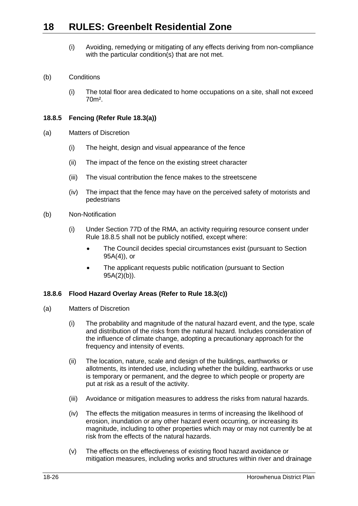(i) Avoiding, remedying or mitigating of any effects deriving from non-compliance with the particular condition(s) that are not met.

## (b) Conditions

(i) The total floor area dedicated to home occupations on a site, shall not exceed 70m².

## <span id="page-25-1"></span>**18.8.5 Fencing (Refer Rule [18.3\(a\)\)](#page-3-7)**

- (a) Matters of Discretion
	- (i) The height, design and visual appearance of the fence
	- (ii) The impact of the fence on the existing street character
	- (iii) The visual contribution the fence makes to the streetscene
	- (iv) The impact that the fence may have on the perceived safety of motorists and pedestrians
- (b) Non-Notification
	- (i) Under Section 77D of the RMA, an activity requiring resource consent under Rule [18.8.5](#page-25-1) shall not be publicly notified, except where:
		- The Council decides special circumstances exist (pursuant to Section 95A(4)), or
		- The applicant requests public notification (pursuant to Section 95A(2)(b)).

## <span id="page-25-0"></span>**18.8.6 Flood Hazard Overlay Areas (Refer to Rule [18.3\(c\)\)](#page-3-9)**

- (a) Matters of Discretion
	- (i) The probability and magnitude of the natural hazard event, and the type, scale and distribution of the risks from the natural hazard. Includes consideration of the influence of climate change, adopting a precautionary approach for the frequency and intensity of events.
	- (ii) The location, nature, scale and design of the buildings, earthworks or allotments, its intended use, including whether the building, earthworks or use is temporary or permanent, and the degree to which people or property are put at risk as a result of the activity.
	- (iii) Avoidance or mitigation measures to address the risks from natural hazards.
	- (iv) The effects the mitigation measures in terms of increasing the likelihood of erosion, inundation or any other hazard event occurring, or increasing its magnitude, including to other properties which may or may not currently be at risk from the effects of the natural hazards.
	- (v) The effects on the effectiveness of existing flood hazard avoidance or mitigation measures, including works and structures within river and drainage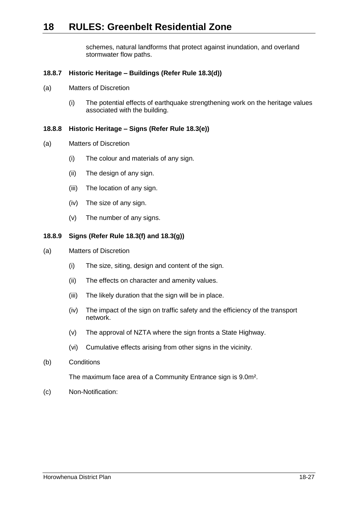schemes, natural landforms that protect against inundation, and overland stormwater flow paths.

## <span id="page-26-0"></span>**18.8.7 Historic Heritage – Buildings (Refer Rule [18.3\(d\)\)](#page-3-10)**

- (a) Matters of Discretion
	- (i) The potential effects of earthquake strengthening work on the heritage values associated with the building.

## <span id="page-26-1"></span>**18.8.8 Historic Heritage – Signs (Refer Rule [18.3\(e\)\)](#page-3-11)**

- (a) Matters of Discretion
	- (i) The colour and materials of any sign.
	- (ii) The design of any sign.
	- (iii) The location of any sign.
	- (iv) The size of any sign.
	- (v) The number of any signs.

#### <span id="page-26-2"></span>**18.8.9 Signs (Refer Rule [18.3\(f\)](#page-3-12) and [18.3\(g\)\)](#page-3-13)**

- (a) Matters of Discretion
	- (i) The size, siting, design and content of the sign.
	- (ii) The effects on character and amenity values.
	- (iii) The likely duration that the sign will be in place.
	- (iv) The impact of the sign on traffic safety and the efficiency of the transport network.
	- (v) The approval of NZTA where the sign fronts a State Highway.
	- (vi) Cumulative effects arising from other signs in the vicinity.
- <span id="page-26-3"></span>(b) Conditions

The maximum face area of a Community Entrance sign is 9.0m².

(c) Non-Notification: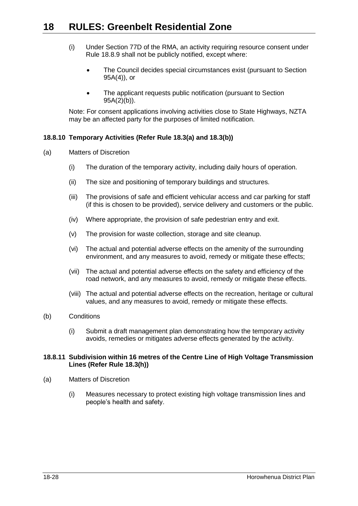- (i) Under Section 77D of the RMA, an activity requiring resource consent under Rule [18.8.9](#page-26-2) shall not be publicly notified, except where:
	- The Council decides special circumstances exist (pursuant to Section 95A(4)), or
	- The applicant requests public notification (pursuant to Section 95A(2)(b)).

Note: For consent applications involving activities close to State Highways, NZTA may be an affected party for the purposes of limited notification.

## **18.8.10 Temporary Activities (Refer Rule [18.3\(a\)](#page-3-7) and [18.3\(b\)\)](#page-3-8)**

- (a) Matters of Discretion
	- (i) The duration of the temporary activity, including daily hours of operation.
	- (ii) The size and positioning of temporary buildings and structures.
	- (iii) The provisions of safe and efficient vehicular access and car parking for staff (if this is chosen to be provided), service delivery and customers or the public.
	- (iv) Where appropriate, the provision of safe pedestrian entry and exit.
	- (v) The provision for waste collection, storage and site cleanup.
	- (vi) The actual and potential adverse effects on the amenity of the surrounding environment, and any measures to avoid, remedy or mitigate these effects;
	- (vii) The actual and potential adverse effects on the safety and efficiency of the road network, and any measures to avoid, remedy or mitigate these effects.
	- (viii) The actual and potential adverse effects on the recreation, heritage or cultural values, and any measures to avoid, remedy or mitigate these effects.

## (b) Conditions

(i) Submit a draft management plan demonstrating how the temporary activity avoids, remedies or mitigates adverse effects generated by the activity.

#### <span id="page-27-0"></span>**18.8.11 Subdivision within 16 metres of the Centre Line of High Voltage Transmission Lines (Refer Rule [18.3\(h\)\)](#page-3-14)**

- (a) Matters of Discretion
	- (i) Measures necessary to protect existing high voltage transmission lines and people's health and safety.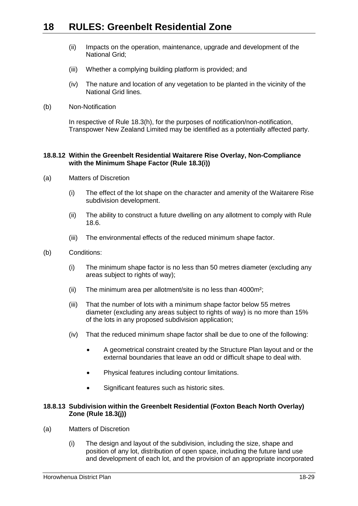- (ii) Impacts on the operation, maintenance, upgrade and development of the National Grid;
- (iii) Whether a complying building platform is provided; and
- (iv) The nature and location of any vegetation to be planted in the vicinity of the National Grid lines.
- (b) Non-Notification

In respective of Rule [18.3\(h\),](#page-3-14) for the purposes of notification/non-notification, Transpower New Zealand Limited may be identified as a potentially affected party.

#### <span id="page-28-0"></span>**18.8.12 Within the Greenbelt Residential Waitarere Rise Overlay, Non-Compliance with the Minimum Shape Factor (Rule [18.3\(i\)\)](#page-3-0)**

- <span id="page-28-2"></span>(a) Matters of Discretion
	- (i) The effect of the lot shape on the character and amenity of the Waitarere Rise subdivision development.
	- (ii) The ability to construct a future dwelling on any allotment to comply with Rule [18.6.](#page-6-0)
	- (iii) The environmental effects of the reduced minimum shape factor.
- (b) Conditions:
	- (i) The minimum shape factor is no less than 50 metres diameter (excluding any areas subject to rights of way);
	- (ii) The minimum area per allotment/site is no less than 4000m²;
	- (iii) That the number of lots with a minimum shape factor below 55 metres diameter (excluding any areas subject to rights of way) is no more than 15% of the lots in any proposed subdivision application;
	- (iv) That the reduced minimum shape factor shall be due to one of the following:
		- A geometrical constraint created by the Structure Plan layout and or the external boundaries that leave an odd or difficult shape to deal with.
		- Physical features including contour limitations.
		- Significant features such as historic sites.

## <span id="page-28-1"></span>**18.8.13 Subdivision within the Greenbelt Residential (Foxton Beach North Overlay) Zone (Rule [18.3\(j\)\)](#page-4-0)**

- (a) Matters of Discretion
	- (i) The design and layout of the subdivision, including the size, shape and position of any lot, distribution of open space, including the future land use and development of each lot, and the provision of an appropriate incorporated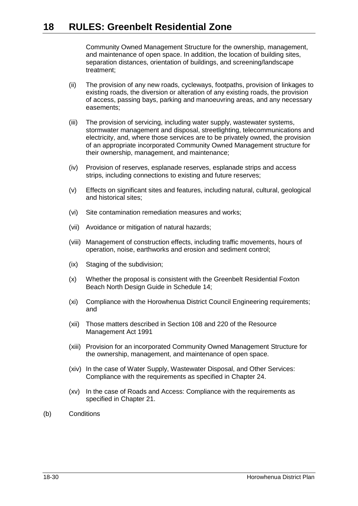Community Owned Management Structure for the ownership, management, and maintenance of open space. In addition, the location of building sites, separation distances, orientation of buildings, and screening/landscape treatment;

- (ii) The provision of any new roads, cycleways, footpaths, provision of linkages to existing roads, the diversion or alteration of any existing roads, the provision of access, passing bays, parking and manoeuvring areas, and any necessary easements;
- (iii) The provision of servicing, including water supply, wastewater systems, stormwater management and disposal, streetlighting, telecommunications and electricity, and, where those services are to be privately owned, the provision of an appropriate incorporated Community Owned Management structure for their ownership, management, and maintenance;
- (iv) Provision of reserves, esplanade reserves, esplanade strips and access strips, including connections to existing and future reserves;
- (v) Effects on significant sites and features, including natural, cultural, geological and historical sites;
- (vi) Site contamination remediation measures and works;
- (vii) Avoidance or mitigation of natural hazards;
- (viii) Management of construction effects, including traffic movements, hours of operation, noise, earthworks and erosion and sediment control;
- (ix) Staging of the subdivision;
- (x) Whether the proposal is consistent with the Greenbelt Residential Foxton Beach North Design Guide in Schedule 14;
- (xi) Compliance with the Horowhenua District Council Engineering requirements; and
- (xii) Those matters described in Section 108 and 220 of the Resource Management Act 1991
- (xiii) Provision for an incorporated Community Owned Management Structure for the ownership, management, and maintenance of open space.
- (xiv) In the case of Water Supply, Wastewater Disposal, and Other Services: Compliance with the requirements as specified in Chapter 24.
- (xv) In the case of Roads and Access: Compliance with the requirements as specified in Chapter 21.
- (b) Conditions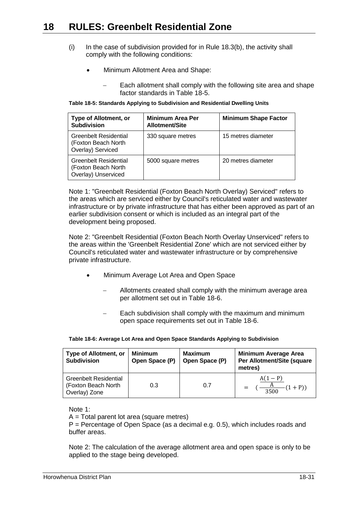- <span id="page-30-0"></span> $(i)$  In the case of subdivision provided for in Rule 18.3(b), the activity shall comply with the following conditions:
	- Minimum Allotment Area and Shape:
		- Each allotment shall comply with the following site area and shape factor standards in [Table 18-5.](#page-30-1)

<span id="page-30-1"></span>**Table 18-5: Standards Applying to Subdivision and Residential Dwelling Units**

| <b>Type of Allotment, or</b><br><b>Subdivision</b>                  | <b>Minimum Area Per</b><br><b>Allotment/Site</b> | <b>Minimum Shape Factor</b> |
|---------------------------------------------------------------------|--------------------------------------------------|-----------------------------|
| Greenbelt Residential<br>(Foxton Beach North<br>Overlay) Serviced   | 330 square metres                                | 15 metres diameter          |
| Greenbelt Residential<br>(Foxton Beach North<br>Overlay) Unserviced | 5000 square metres                               | 20 metres diameter          |

Note 1: "Greenbelt Residential (Foxton Beach North Overlay) Serviced" refers to the areas which are serviced either by Council's reticulated water and wastewater infrastructure or by private infrastructure that has either been approved as part of an earlier subdivision consent or which is included as an integral part of the development being proposed.

Note 2: "Greenbelt Residential (Foxton Beach North Overlay Unserviced" refers to the areas within the 'Greenbelt Residential Zone' which are not serviced either by Council's reticulated water and wastewater infrastructure or by comprehensive private infrastructure.

- Minimum Average Lot Area and Open Space
	- Allotments created shall comply with the minimum average area per allotment set out in [Table 18-6.](#page-30-2)
	- Each subdivision shall comply with the maximum and minimum open space requirements set out in [Table 18-6.](#page-30-2)

<span id="page-30-2"></span>

| <b>Type of Allotment, or</b><br><b>Subdivision</b>                   | <b>Minimum</b><br>Open Space (P) | <b>Maximum</b><br>Open Space (P) | <b>Minimum Average Area</b><br>Per Allotment/Site (square<br>metres) |
|----------------------------------------------------------------------|----------------------------------|----------------------------------|----------------------------------------------------------------------|
| <b>Greenbelt Residential</b><br>(Foxton Beach North<br>Overlay) Zone | 0.3                              | 0.7                              | $A(1-P)$<br>$(1+P))$<br>$=$ $-$<br>$\frac{11}{3500}$                 |

|  | Table 18-6: Average Lot Area and Open Space Standards Applying to Subdivision |  |
|--|-------------------------------------------------------------------------------|--|
|  |                                                                               |  |

Note 1:

A = Total parent lot area (square metres)

P = Percentage of Open Space (as a decimal e.g. 0.5), which includes roads and buffer areas.

Note 2: The calculation of the average allotment area and open space is only to be applied to the stage being developed.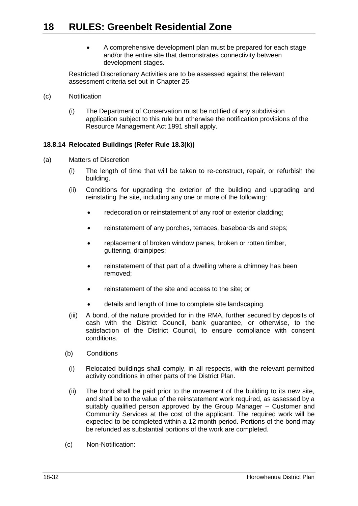A comprehensive development plan must be prepared for each stage and/or the entire site that demonstrates connectivity between development stages.

Restricted Discretionary Activities are to be assessed against the relevant assessment criteria set out in Chapter 25.

- (c) Notification
	- (i) The Department of Conservation must be notified of any subdivision application subject to this rule but otherwise the notification provisions of the Resource Management Act 1991 shall apply.

## <span id="page-31-0"></span>**18.8.14 Relocated Buildings (Refer Rule [18.3\(k\)\)](#page-4-2)**

- (a) Matters of Discretion
	- (i) The length of time that will be taken to re-construct, repair, or refurbish the building.
	- (ii) Conditions for upgrading the exterior of the building and upgrading and reinstating the site, including any one or more of the following:
		- redecoration or reinstatement of any roof or exterior cladding;
		- reinstatement of any porches, terraces, baseboards and steps;
		- replacement of broken window panes, broken or rotten timber, guttering, drainpipes;
		- reinstatement of that part of a dwelling where a chimney has been removed;
		- reinstatement of the site and access to the site; or
		- details and length of time to complete site landscaping.
	- (iii) A bond, of the nature provided for in the RMA, further secured by deposits of cash with the District Council, bank guarantee, or otherwise, to the satisfaction of the District Council, to ensure compliance with consent conditions.
	- (b) Conditions
	- (i) Relocated buildings shall comply, in all respects, with the relevant permitted activity conditions in other parts of the District Plan.
	- (ii) The bond shall be paid prior to the movement of the building to its new site, and shall be to the value of the reinstatement work required, as assessed by a suitably qualified person approved by the Group Manager – Customer and Community Services at the cost of the applicant. The required work will be expected to be completed within a 12 month period. Portions of the bond may be refunded as substantial portions of the work are completed.
	- (c) Non-Notification: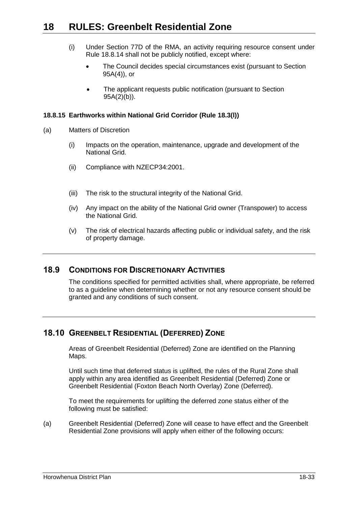- (i) Under Section 77D of the RMA, an activity requiring resource consent under Rule [18.8.14](#page-31-0) shall not be publicly notified, except where:
	- The Council decides special circumstances exist (pursuant to Section 95A(4)), or
	- The applicant requests public notification (pursuant to Section 95A(2)(b)).

## <span id="page-32-0"></span>**18.8.15 Earthworks within National Grid Corridor (Rule [18.3\(l\)\)](#page-4-3)**

- (a) Matters of Discretion
	- (i) Impacts on the operation, maintenance, upgrade and development of the National Grid.
	- (ii) Compliance with NZECP34:2001.
	- (iii) The risk to the structural integrity of the National Grid.
	- (iv) Any impact on the ability of the National Grid owner (Transpower) to access the National Grid.
	- (v) The risk of electrical hazards affecting public or individual safety, and the risk of property damage.

## **18.9 CONDITIONS FOR DISCRETIONARY ACTIVITIES**

The conditions specified for permitted activities shall, where appropriate, be referred to as a guideline when determining whether or not any resource consent should be granted and any conditions of such consent.

## **18.10 GREENBELT RESIDENTIAL (DEFERRED) ZONE**

Areas of Greenbelt Residential (Deferred) Zone are identified on the Planning Maps.

Until such time that deferred status is uplifted, the rules of the Rural Zone shall apply within any area identified as Greenbelt Residential (Deferred) Zone or Greenbelt Residential (Foxton Beach North Overlay) Zone (Deferred).

To meet the requirements for uplifting the deferred zone status either of the following must be satisfied:

(a) Greenbelt Residential (Deferred) Zone will cease to have effect and the Greenbelt Residential Zone provisions will apply when either of the following occurs: